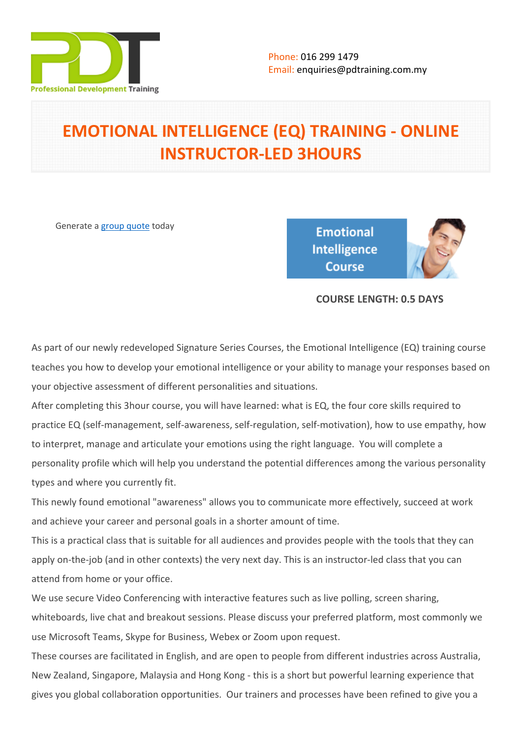

# **EMOTIONAL INTELLIGENCE (EQ) TRAINING - ONLINE INSTRUCTOR-LED 3HOURS**

Generate a [group quote](https://pdtraining.com.my/inhouse-training-quote?cse=PDTE4245_C) today

**Emotional Intelligence** Course



# **COURSE LENGTH: 0.5 DAYS**

As part of our newly redeveloped Signature Series Courses, the Emotional Intelligence (EQ) training course teaches you how to develop your emotional intelligence or your ability to manage your responses based on your objective assessment of different personalities and situations.

After completing this 3hour course, you will have learned: what is EQ, the four core skills required to practice EQ (self-management, self-awareness, self-regulation, self-motivation), how to use empathy, how to interpret, manage and articulate your emotions using the right language. You will complete a personality profile which will help you understand the potential differences among the various personality types and where you currently fit.

This newly found emotional "awareness" allows you to communicate more effectively, succeed at work and achieve your career and personal goals in a shorter amount of time.

This is a practical class that is suitable for all audiences and provides people with the tools that they can apply on-the-job (and in other contexts) the very next day. This is an instructor-led class that you can attend from home or your office.

We use secure Video Conferencing with interactive features such as live polling, screen sharing, whiteboards, live chat and breakout sessions. Please discuss your preferred platform, most commonly we use Microsoft Teams, Skype for Business, Webex or Zoom upon request.

These courses are facilitated in English, and are open to people from different industries across Australia, New Zealand, Singapore, Malaysia and Hong Kong - this is a short but powerful learning experience that gives you global collaboration opportunities. Our trainers and processes have been refined to give you a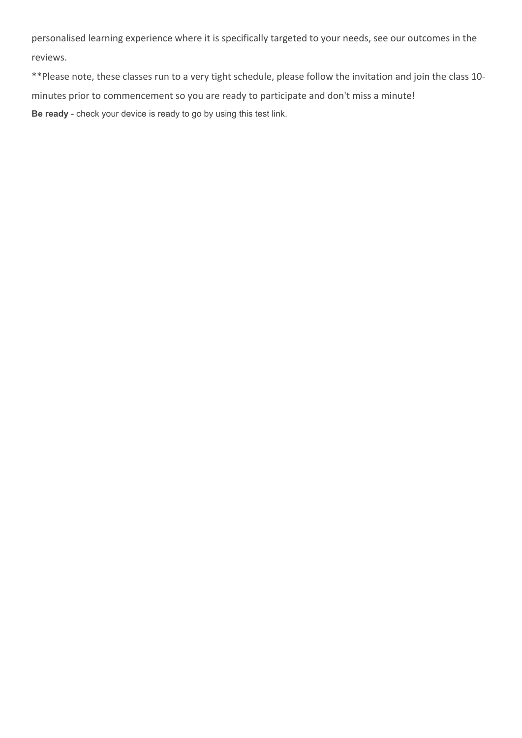personalised learning experience where it is specifically targeted to your needs, see our outcomes in the reviews.

\*\*Please note, these classes run to a very tight schedule, please follow the invitation and join the class 10 minutes prior to commencement so you are ready to participate and don't miss a minute! **Be ready** - check your device is ready to go by using this [test link](https://zoom.us/test).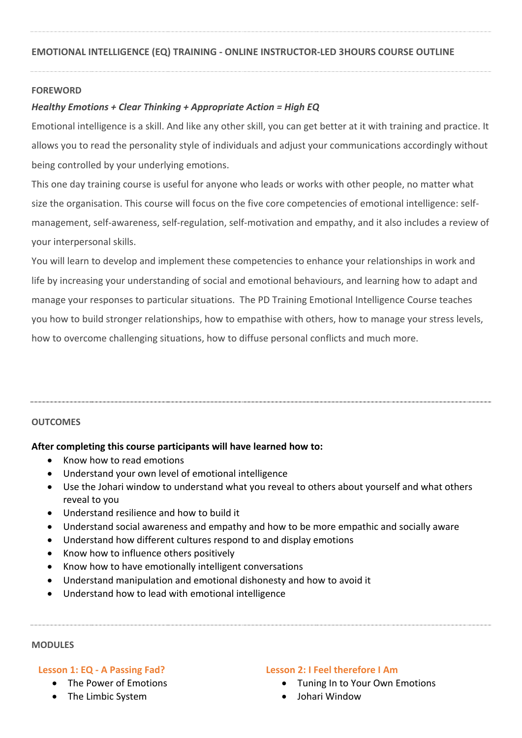# **FOREWORD**

# *Healthy Emotions + Clear Thinking + Appropriate Action = High EQ*

Emotional intelligence is a skill. And like any other skill, you can get better at it with training and practice. It allows you to read the personality style of individuals and adjust your communications accordingly without being controlled by your underlying emotions.

This one day training course is useful for anyone who leads or works with other people, no matter what size the organisation. This course will focus on the five core competencies of emotional intelligence: selfmanagement, self-awareness, self-regulation, self-motivation and empathy, and it also includes a review of your interpersonal skills.

You will learn to develop and implement these competencies to enhance your relationships in work and life by increasing your understanding of social and emotional behaviours, and learning how to adapt and manage your responses to particular situations. The PD Training Emotional Intelligence Course teaches you how to build stronger relationships, how to empathise with others, how to manage your stress levels, how to overcome challenging situations, how to diffuse personal conflicts and much more.

#### **OUTCOMES**

# **After completing this course participants will have learned how to:**

- Know how to read emotions
- Understand your own level of emotional intelligence
- Use the Johari window to understand what you reveal to others about yourself and what others reveal to you
- Understand resilience and how to build it
- Understand social awareness and empathy and how to be more empathic and socially aware
- Understand how different cultures respond to and display emotions
- Know how to influence others positively
- Know how to have emotionally intelligent conversations
- Understand manipulation and emotional dishonesty and how to avoid it
- Understand how to lead with emotional intelligence

#### **MODULES**

# **Lesson 1: EQ - A Passing Fad?**

- The Power of Emotions
- The Limbic System

#### **Lesson 2: I Feel therefore I Am**

- Tuning In to Your Own Emotions
- Johari Window